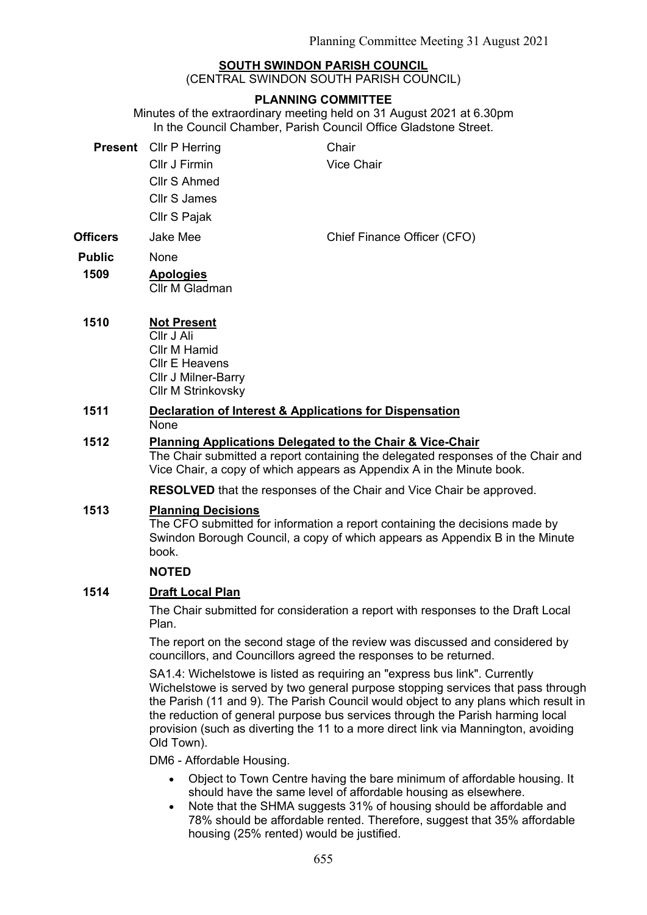## **SOUTH SWINDON PARISH COUNCIL**

(CENTRAL SWINDON SOUTH PARISH COUNCIL)

### **PLANNING COMMITTEE**

Minutes of the extraordinary meeting held on 31 August 2021 at 6.30pm In the Council Chamber, Parish Council Office Gladstone Street.

| <b>Present</b>  | Cllr P Herring     | Chair                       |
|-----------------|--------------------|-----------------------------|
|                 | Cllr J Firmin      | <b>Vice Chair</b>           |
|                 | Cllr S Ahmed       |                             |
|                 | Cllr S James       |                             |
|                 | Cllr S Pajak       |                             |
| <b>Officers</b> | Jake Mee           | Chief Finance Officer (CFO) |
| <b>Public</b>   | None               |                             |
| 1509            | <b>Apologies</b>   |                             |
|                 | Cllr M Gladman     |                             |
| 1510            | <b>Not Present</b> |                             |
|                 | Cllr J Ali         |                             |
|                 | Cllr M Hamid       |                             |

# Cllr M Strinkovsky **1511 Declaration of Interest & Applications for Dispensation**

None

Cllr E Heavens Cllr J Milner-Barry

### **1512 Planning Applications Delegated to the Chair & Vice-Chair**

The Chair submitted a report containing the delegated responses of the Chair and Vice Chair, a copy of which appears as Appendix A in the Minute book.

**RESOLVED** that the responses of the Chair and Vice Chair be approved.

### **1513 Planning Decisions**

The CFO submitted for information a report containing the decisions made by Swindon Borough Council, a copy of which appears as Appendix B in the Minute book.

#### **NOTED**

### **1514 Draft Local Plan**

The Chair submitted for consideration a report with responses to the Draft Local Plan.

The report on the second stage of the review was discussed and considered by councillors, and Councillors agreed the responses to be returned.

SA1.4: Wichelstowe is listed as requiring an "express bus link". Currently Wichelstowe is served by two general purpose stopping services that pass through the Parish (11 and 9). The Parish Council would object to any plans which result in the reduction of general purpose bus services through the Parish harming local provision (such as diverting the 11 to a more direct link via Mannington, avoiding Old Town).

DM6 - Affordable Housing.

- Object to Town Centre having the bare minimum of affordable housing. It should have the same level of affordable housing as elsewhere.
- Note that the SHMA suggests 31% of housing should be affordable and 78% should be affordable rented. Therefore, suggest that 35% affordable housing (25% rented) would be justified.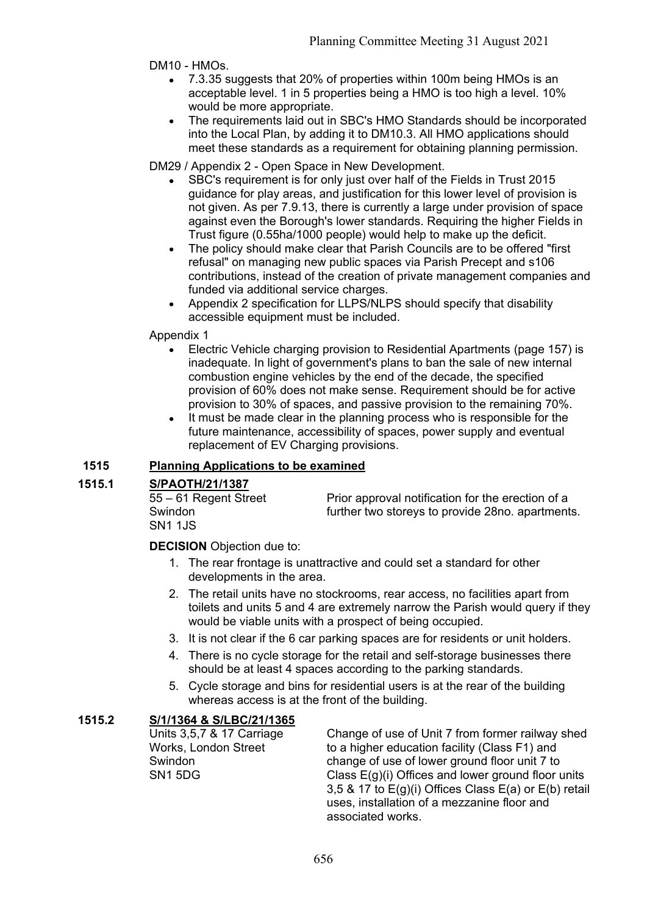DM10 - HMOs.

- 7.3.35 suggests that 20% of properties within 100m being HMOs is an acceptable level. 1 in 5 properties being a HMO is too high a level. 10% would be more appropriate.
- The requirements laid out in SBC's HMO Standards should be incorporated into the Local Plan, by adding it to DM10.3. All HMO applications should meet these standards as a requirement for obtaining planning permission.

DM29 / Appendix 2 - Open Space in New Development.

- SBC's requirement is for only just over half of the Fields in Trust 2015 guidance for play areas, and justification for this lower level of provision is not given. As per 7.9.13, there is currently a large under provision of space against even the Borough's lower standards. Requiring the higher Fields in Trust figure (0.55ha/1000 people) would help to make up the deficit.
- The policy should make clear that Parish Councils are to be offered "first refusal" on managing new public spaces via Parish Precept and s106 contributions, instead of the creation of private management companies and funded via additional service charges.
- Appendix 2 specification for LLPS/NLPS should specify that disability accessible equipment must be included.

Appendix 1

- Electric Vehicle charging provision to Residential Apartments (page 157) is inadequate. In light of government's plans to ban the sale of new internal combustion engine vehicles by the end of the decade, the specified provision of 60% does not make sense. Requirement should be for active provision to 30% of spaces, and passive provision to the remaining 70%.
- It must be made clear in the planning process who is responsible for the future maintenance, accessibility of spaces, power supply and eventual replacement of EV Charging provisions.

# **1515 Planning Applications to be examined**

## **1515.1 S/PAOTH/21/1387**

| 55 – 61 Regent Street | Prior approval notification for the erection of a |
|-----------------------|---------------------------------------------------|
| Swindon               | further two storeys to provide 28no. apartments.  |
| SN1 1JS               |                                                   |

## **DECISION** Objection due to:

- 1. The rear frontage is unattractive and could set a standard for other developments in the area.
- 2. The retail units have no stockrooms, rear access, no facilities apart from toilets and units 5 and 4 are extremely narrow the Parish would query if they would be viable units with a prospect of being occupied.
- 3. It is not clear if the 6 car parking spaces are for residents or unit holders.
- 4. There is no cycle storage for the retail and self-storage businesses there should be at least 4 spaces according to the parking standards.
- 5. Cycle storage and bins for residential users is at the rear of the building whereas access is at the front of the building.

# **1515.2 S/1/1364 & S/LBC/21/1365**

Units 3,5,7 & 17 Carriage Works, London Street Swindon SN1 5DG

Change of use of Unit 7 from former railway shed to a higher education facility (Class F1) and change of use of lower ground floor unit 7 to Class E(g)(i) Offices and lower ground floor units 3,5 & 17 to E(g)(i) Offices Class E(a) or E(b) retail uses, installation of a mezzanine floor and associated works.